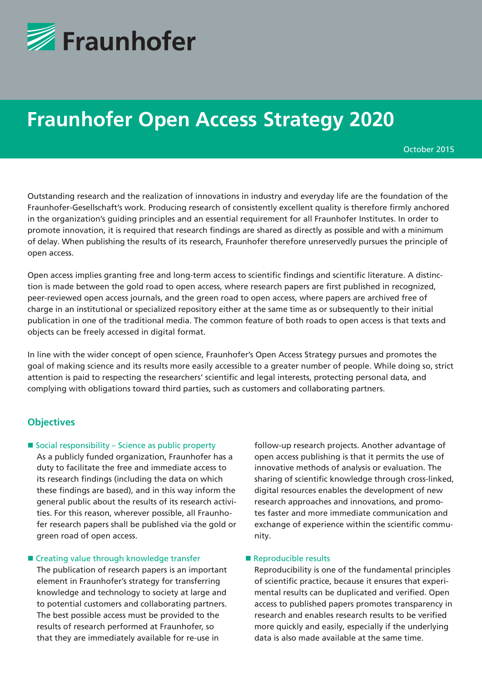

# **Fraunhofer Open Access Strategy 2020**

October 2015

Outstanding research and the realization of innovations in industry and everyday life are the foundation of the Fraunhofer-Gesellschaft's work. Producing research of consistently excellent quality is therefore firmly anchored in the organization's guiding principles and an essential requirement for all Fraunhofer Institutes. In order to promote innovation, it is required that research findings are shared as directly as possible and with a minimum of delay. When publishing the results of its research, Fraunhofer therefore unreservedly pursues the principle of open access.

Open access implies granting free and long-term access to scientific findings and scientific literature. A distinction is made between the gold road to open access, where research papers are first published in recognized, peer-reviewed open access journals, and the green road to open access, where papers are archived free of charge in an institutional or specialized repository either at the same time as or subsequently to their initial publication in one of the traditional media. The common feature of both roads to open access is that texts and objects can be freely accessed in digital format.

In line with the wider concept of open science, Fraunhofer's Open Access Strategy pursues and promotes the goal of making science and its results more easily accessible to a greater number of people. While doing so, strict attention is paid to respecting the researchers' scientific and legal interests, protecting personal data, and complying with obligations toward third parties, such as customers and collaborating partners.

### **Objectives**

#### $\blacksquare$  Social responsibility – Science as public property

As a publicly funded organization, Fraunhofer has a duty to facilitate the free and immediate access to its research findings (including the data on which these findings are based), and in this way inform the general public about the results of its research activities. For this reason, wherever possible, all Fraunhofer research papers shall be published via the gold or green road of open access.

#### ■ Creating value through knowledge transfer

The publication of research papers is an important element in Fraunhofer's strategy for transferring knowledge and technology to society at large and to potential customers and collaborating partners. The best possible access must be provided to the results of research performed at Fraunhofer, so that they are immediately available for re-use in

follow-up research projects. Another advantage of open access publishing is that it permits the use of innovative methods of analysis or evaluation. The sharing of scientific knowledge through cross-linked, digital resources enables the development of new research approaches and innovations, and promotes faster and more immediate communication and exchange of experience within the scientific community.

#### Reproducible results

Reproducibility is one of the fundamental principles of scientific practice, because it ensures that experimental results can be duplicated and verified. Open access to published papers promotes transparency in research and enables research results to be verified more quickly and easily, especially if the underlying data is also made available at the same time.